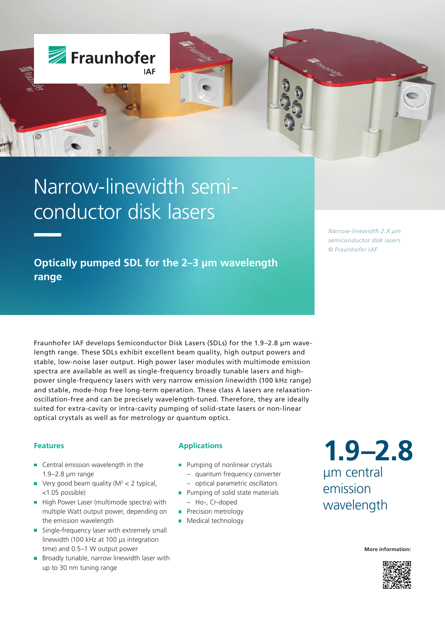

# Narrow-linewidth semiconductor disk lasers

**Optically pumped SDL for the 2–3 µm wavelength range**

*Narrow-linewidth 2.X µm semiconductor disk lasers © Fraunhofer IAF*

Fraunhofer IAF develops Semiconductor Disk Lasers (SDLs) for the 1.9–2.8 µm wavelength range. These SDLs exhibit excellent beam quality, high output powers and stable, low-noise laser output. High power laser modules with multimode emission spectra are available as well as single-frequency broadly tunable lasers and highpower single-frequency lasers with very narrow emission linewidth (100 kHz range) and stable, mode-hop free long-term operation. These class A lasers are relaxationoscillation-free and can be precisely wavelength-tuned. Therefore, they are ideally suited for extra-cavity or intra-cavity pumping of solid-state lasers or non-linear optical crystals as well as for metrology or quantum optics.

#### **Features**

- **Central emission wavelength in the** 1.9–2.8 μm range
- Very good beam quality (M2 < 2 typical, <1.05 possible)
- High Power Laser (multimode spectra) with multiple Watt output power, depending on the emission wavelength
- Single-frequency laser with extremely small  $\mathbf{r}$ linewidth (100 kHz at 100 μs integration time) and 0.5–1 W output power
- $\blacksquare$  Broadly tunable, narrow linewidth laser with up to 30 nm tuning range

### **Applications**

- **Pumping of nonlinear crystals** 
	- quantum frequency converter
- optical parametric oscillators
- **Pumping of solid state materials** – Ho-, Cr-doped
- **Precision metrology**
- **Medical technology**

**1.9–2.8** μm central emission wavelength

**More information:**